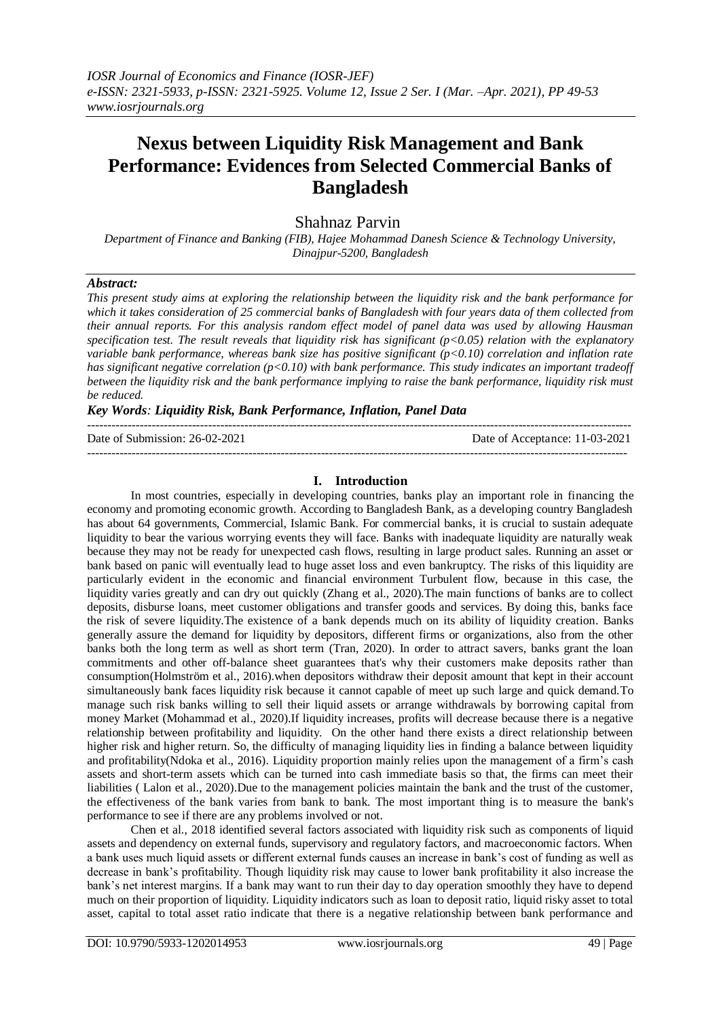# **Nexus between Liquidity Risk Management and Bank Performance: Evidences from Selected Commercial Banks of Bangladesh**

# Shahnaz Parvin

*Department of Finance and Banking (FIB), Hajee Mohammad Danesh Science & Technology University, Dinajpur-5200, Bangladesh*

#### *Abstract:*

*This present study aims at exploring the relationship between the liquidity risk and the bank performance for*  which it takes consideration of 25 commercial banks of Bangladesh with four years data of them collected from *their annual reports. For this analysis random effect model of panel data was used by allowing Hausman specification test. The result reveals that liquidity risk has significant (p<0.05) relation with the explanatory variable bank performance, whereas bank size has positive significant (p<0.10) correlation and inflation rate has significant negative correlation (p<0.10) with bank performance. This study indicates an important tradeoff between the liquidity risk and the bank performance implying to raise the bank performance, liquidity risk must be reduced.*

### *Key Words: Liquidity Risk, Bank Performance, Inflation, Panel Data*

| Date of Submission: 26-02-2021 | Date of Acceptance: 11-03-2021 |
|--------------------------------|--------------------------------|
|                                |                                |

#### **I. Introduction**

In most countries, especially in developing countries, banks play an important role in financing the economy and promoting economic growth. According to Bangladesh Bank, as a developing country Bangladesh has about 64 governments, Commercial, Islamic Bank. For commercial banks, it is crucial to sustain adequate liquidity to bear the various worrying events they will face. Banks with inadequate liquidity are naturally weak because they may not be ready for unexpected cash flows, resulting in large product sales. Running an asset or bank based on panic will eventually lead to huge asset loss and even bankruptcy. The risks of this liquidity are particularly evident in the economic and financial environment Turbulent flow, because in this case, the liquidity varies greatly and can dry out quickly (Zhang et al., 2020).The main functions of banks are to collect deposits, disburse loans, meet customer obligations and transfer goods and services. By doing this, banks face the risk of severe liquidity.The existence of a bank depends much on its ability of liquidity creation. Banks generally assure the demand for liquidity by depositors, different firms or organizations, also from the other banks both the long term as well as short term (Tran, 2020). In order to attract savers, banks grant the loan commitments and other off-balance sheet guarantees that's why their customers make deposits rather than consumption(Holmström et al., 2016).when depositors withdraw their deposit amount that kept in their account simultaneously bank faces liquidity risk because it cannot capable of meet up such large and quick demand.To manage such risk banks willing to sell their liquid assets or arrange withdrawals by borrowing capital from money Market (Mohammad et al., 2020).If liquidity increases, profits will decrease because there is a negative relationship between profitability and liquidity. On the other hand there exists a direct relationship between higher risk and higher return. So, the difficulty of managing liquidity lies in finding a balance between liquidity and profitability(Ndoka et al., 2016). Liquidity proportion mainly relies upon the management of a firm's cash assets and short-term assets which can be turned into cash immediate basis so that, the firms can meet their liabilities ( Lalon et al., 2020).Due to the management policies maintain the bank and the trust of the customer, the effectiveness of the bank varies from bank to bank. The most important thing is to measure the bank's performance to see if there are any problems involved or not.

Chen et al., 2018 identified several factors associated with liquidity risk such as components of liquid assets and dependency on external funds, supervisory and regulatory factors, and macroeconomic factors. When a bank uses much liquid assets or different external funds causes an increase in bank's cost of funding as well as decrease in bank's profitability. Though liquidity risk may cause to lower bank profitability it also increase the bank's net interest margins. If a bank may want to run their day to day operation smoothly they have to depend much on their proportion of liquidity. Liquidity indicators such as loan to deposit ratio, liquid risky asset to total asset, capital to total asset ratio indicate that there is a negative relationship between bank performance and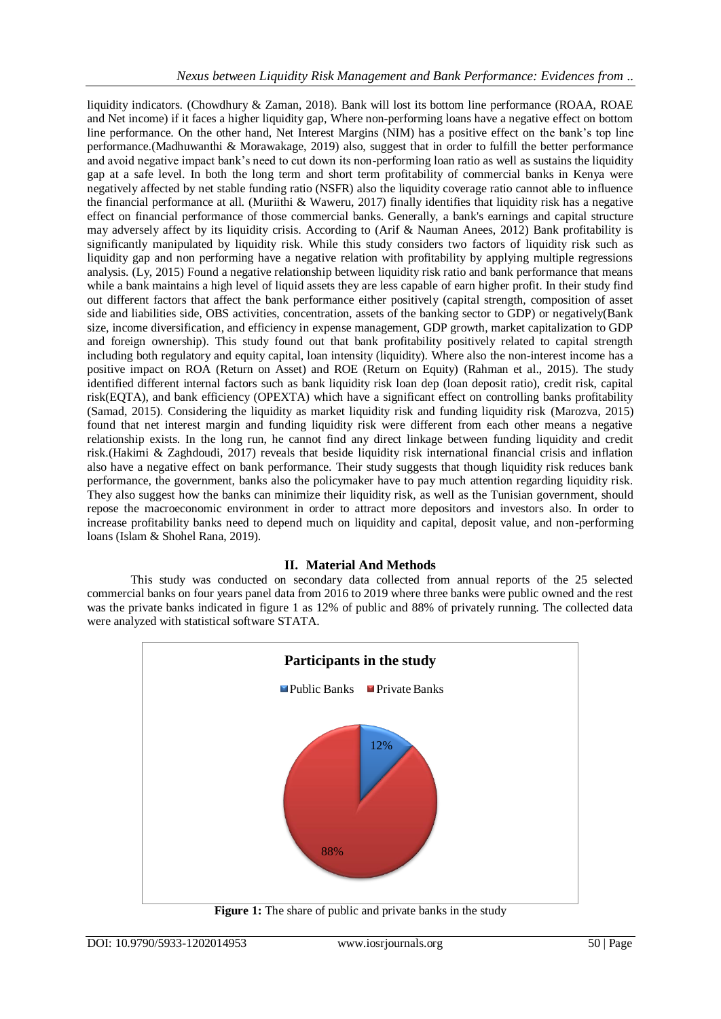liquidity indicators. (Chowdhury & Zaman, 2018). Bank will lost its bottom line performance (ROAA, ROAE and Net income) if it faces a higher liquidity gap, Where non-performing loans have a negative effect on bottom line performance. On the other hand, Net Interest Margins (NIM) has a positive effect on the bank's top line performance.(Madhuwanthi & Morawakage, 2019) also, suggest that in order to fulfill the better performance and avoid negative impact bank's need to cut down its non-performing loan ratio as well as sustains the liquidity gap at a safe level. In both the long term and short term profitability of commercial banks in Kenya were negatively affected by net stable funding ratio (NSFR) also the liquidity coverage ratio cannot able to influence the financial performance at all. (Muriithi & Waweru, 2017) finally identifies that liquidity risk has a negative effect on financial performance of those commercial banks. Generally, a bank's earnings and capital structure may adversely affect by its liquidity crisis. According to (Arif & Nauman Anees, 2012) Bank profitability is significantly manipulated by liquidity risk. While this study considers two factors of liquidity risk such as liquidity gap and non performing have a negative relation with profitability by applying multiple regressions analysis. (Ly, 2015) Found a negative relationship between liquidity risk ratio and bank performance that means while a bank maintains a high level of liquid assets they are less capable of earn higher profit. In their study find out different factors that affect the bank performance either positively (capital strength, composition of asset side and liabilities side, OBS activities, concentration, assets of the banking sector to GDP) or negatively(Bank size, income diversification, and efficiency in expense management, GDP growth, market capitalization to GDP and foreign ownership). This study found out that bank profitability positively related to capital strength including both regulatory and equity capital, loan intensity (liquidity). Where also the non-interest income has a positive impact on ROA (Return on Asset) and ROE (Return on Equity) (Rahman et al., 2015). The study identified different internal factors such as bank liquidity risk loan dep (loan deposit ratio), credit risk, capital risk(EQTA), and bank efficiency (OPEXTA) which have a significant effect on controlling banks profitability (Samad, 2015). Considering the liquidity as market liquidity risk and funding liquidity risk (Marozva, 2015) found that net interest margin and funding liquidity risk were different from each other means a negative relationship exists. In the long run, he cannot find any direct linkage between funding liquidity and credit risk.(Hakimi & Zaghdoudi, 2017) reveals that beside liquidity risk international financial crisis and inflation also have a negative effect on bank performance. Their study suggests that though liquidity risk reduces bank performance, the government, banks also the policymaker have to pay much attention regarding liquidity risk. They also suggest how the banks can minimize their liquidity risk, as well as the Tunisian government, should repose the macroeconomic environment in order to attract more depositors and investors also. In order to increase profitability banks need to depend much on liquidity and capital, deposit value, and non-performing loans (Islam & Shohel Rana, 2019).

## **II. Material And Methods**

This study was conducted on secondary data collected from annual reports of the 25 selected commercial banks on four years panel data from 2016 to 2019 where three banks were public owned and the rest was the private banks indicated in figure 1 as 12% of public and 88% of privately running. The collected data were analyzed with statistical software STATA.



**Figure 1:** The share of public and private banks in the study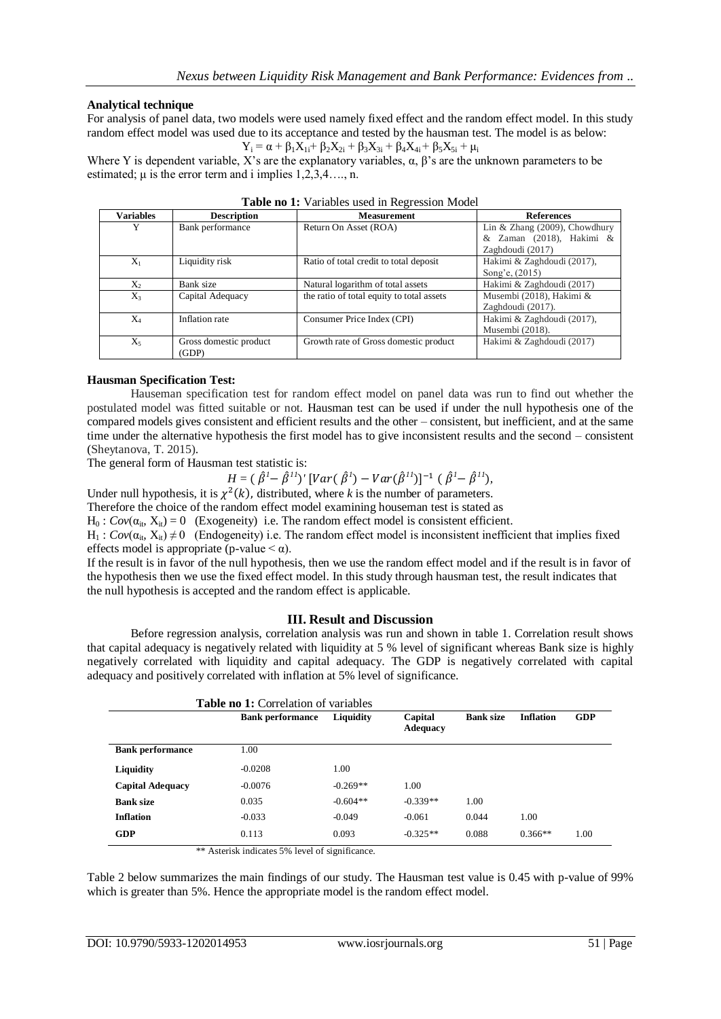### **Analytical technique**

For analysis of panel data, two models were used namely fixed effect and the random effect model. In this study random effect model was used due to its acceptance and tested by the hausman test. The model is as below:

 $Y_i = \alpha + \beta_1 X_{1i} + \beta_2 X_{2i} + \beta_3 X_{3i} + \beta_4 X_{4i} + \beta_5 X_{5i} + \mu_i$ 

Where Y is dependent variable, X's are the explanatory variables,  $\alpha$ ,  $\beta$ 's are the unknown parameters to be estimated;  $\mu$  is the error term and i implies 1,2,3,4..., n.

| <b>Variables</b> | <b>Description</b>     | <b>Measurement</b>                        | <b>References</b>                |
|------------------|------------------------|-------------------------------------------|----------------------------------|
| Y                | Bank performance       | Return On Asset (ROA)                     | Lin & Zhang $(2009)$ , Chowdhury |
|                  |                        |                                           | & Zaman (2018), Hakimi &         |
|                  |                        |                                           | Zaghdoudi (2017)                 |
| $X_1$            | Liquidity risk         | Ratio of total credit to total deposit    | Hakimi & Zaghdoudi (2017),       |
|                  |                        |                                           | Song'e, (2015)                   |
| $X_2$            | Bank size              | Natural logarithm of total assets         | Hakimi & Zaghdoudi (2017)        |
| $X_3$            | Capital Adequacy       | the ratio of total equity to total assets | Musembi (2018), Hakimi &         |
|                  |                        |                                           | Zaghdoudi (2017).                |
| $X_4$            | Inflation rate         | Consumer Price Index (CPI)                | Hakimi & Zaghdoudi (2017),       |
|                  |                        |                                           | Musembi (2018).                  |
| $X_5$            | Gross domestic product | Growth rate of Gross domestic product     | Hakimi & Zaghdoudi (2017)        |
|                  | (GDP)                  |                                           |                                  |

#### **Hausman Specification Test:**

Hauseman specification test for random effect model on panel data was run to find out whether the postulated model was fitted suitable or not. Hausman test can be used if under the null hypothesis one of the compared models gives consistent and efficient results and the other – consistent, but inefficient, and at the same time under the alternative hypothesis the first model has to give inconsistent results and the second – consistent (Sheytanova, T. 2015).

The general form of Hausman test statistic is:

$$
H = (\hat{\beta}^{1} - \hat{\beta}^{11})' [Var(\hat{\beta}^{1}) - Var(\hat{\beta}^{11})]^{-1} (\hat{\beta}^{1} - \hat{\beta}^{11}),
$$

Under null hypothesis, it is  $\chi^2(k)$ , distributed, where *k* is the number of parameters.

Therefore the choice of the random effect model examining houseman test is stated as

 $H_0$ :  $Cov(\alpha_{it}, X_{it}) = 0$  (Exogeneity) i.e. The random effect model is consistent efficient.

 $H_1$ :  $Cov(\alpha_{it}, X_{it}) \neq 0$  (Endogeneity) i.e. The random effect model is inconsistent inefficient that implies fixed effects model is appropriate (p-value  $\leq \alpha$ ).

If the result is in favor of the null hypothesis, then we use the random effect model and if the result is in favor of the hypothesis then we use the fixed effect model. In this study through hausman test, the result indicates that the null hypothesis is accepted and the random effect is applicable.

## **III. Result and Discussion**

Before regression analysis, correlation analysis was run and shown in table 1. Correlation result shows that capital adequacy is negatively related with liquidity at 5 % level of significant whereas Bank size is highly negatively correlated with liquidity and capital adequacy. The GDP is negatively correlated with capital adequacy and positively correlated with inflation at 5% level of significance.

| <b>Table no 1:</b> Correlation of variables |                         |            |                            |                  |                  |            |
|---------------------------------------------|-------------------------|------------|----------------------------|------------------|------------------|------------|
|                                             | <b>Bank performance</b> | Liquidity  | Capital<br><b>Adequacy</b> | <b>Bank size</b> | <b>Inflation</b> | <b>GDP</b> |
| <b>Bank performance</b>                     | 1.00                    |            |                            |                  |                  |            |
| <b>Liquidity</b>                            | $-0.0208$               | 1.00       |                            |                  |                  |            |
| <b>Capital Adequacy</b>                     | $-0.0076$               | $-0.269**$ | 1.00                       |                  |                  |            |
| <b>Bank size</b>                            | 0.035                   | $-0.604**$ | $-0.339**$                 | 1.00             |                  |            |
| <b>Inflation</b>                            | $-0.033$                | $-0.049$   | $-0.061$                   | 0.044            | 1.00             |            |
| GDP                                         | 0.113                   | 0.093      | $-0.325**$                 | 0.088            | $0.366**$        | 1.00       |

\*\* Asterisk indicates 5% level of significance.

Table 2 below summarizes the main findings of our study. The Hausman test value is 0.45 with p-value of 99% which is greater than 5%. Hence the appropriate model is the random effect model.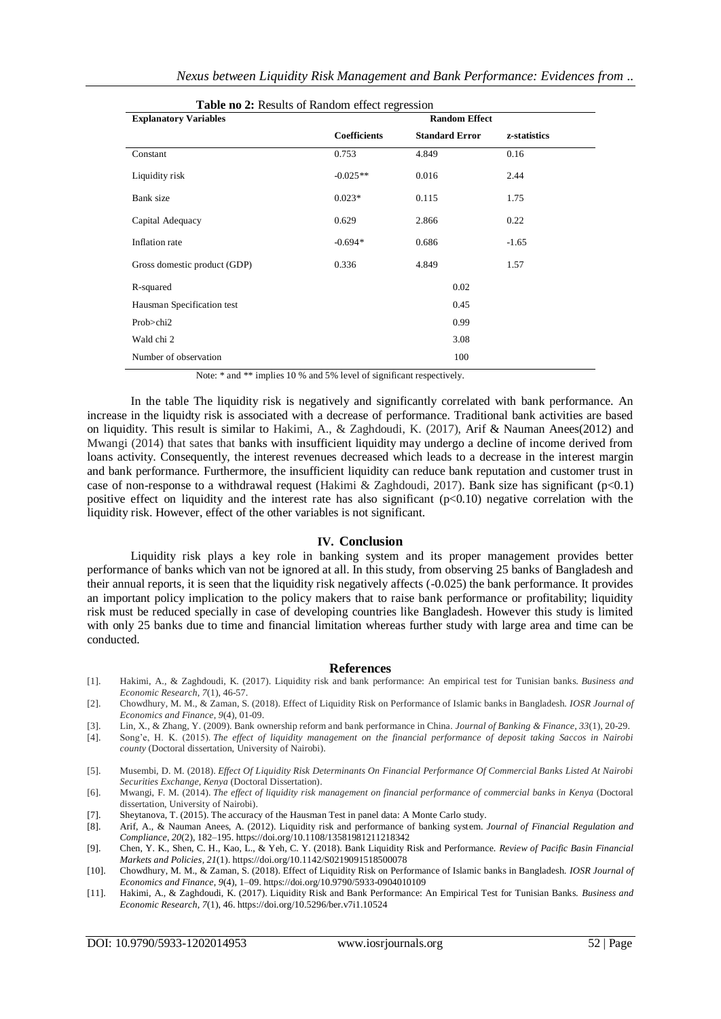| Table no 2: Results of Random effect regression |              |                       |              |  |
|-------------------------------------------------|--------------|-----------------------|--------------|--|
| <b>Explanatory Variables</b>                    |              | <b>Random Effect</b>  |              |  |
|                                                 | Coefficients | <b>Standard Error</b> | z-statistics |  |
| Constant                                        | 0.753        | 4.849                 | 0.16         |  |
| Liquidity risk                                  | $-0.025**$   | 0.016                 | 2.44         |  |
| Bank size                                       | $0.023*$     | 0.115                 | 1.75         |  |
| Capital Adequacy                                | 0.629        | 2.866                 | 0.22         |  |
| Inflation rate                                  | $-0.694*$    | 0.686                 | $-1.65$      |  |
| Gross domestic product (GDP)                    | 0.336        | 4.849                 | 1.57         |  |
| R-squared                                       |              | 0.02                  |              |  |
| Hausman Specification test                      |              | 0.45                  |              |  |
| Prob>chi2                                       |              | 0.99                  |              |  |
| Wald chi 2                                      |              | 3.08                  |              |  |
| Number of observation                           |              | 100                   |              |  |

Note:  $*$  and  $**$  implies 10 % and 5% level of significant respectively.

In the table The liquidity risk is negatively and significantly correlated with bank performance. An increase in the liquidty risk is associated with a decrease of performance. Traditional bank activities are based on liquidity. This result is similar to Hakimi, A., & Zaghdoudi, K. (2017), Arif & Nauman Anees(2012) and Mwangi (2014) that sates that banks with insufficient liquidity may undergo a decline of income derived from loans activity. Consequently, the interest revenues decreased which leads to a decrease in the interest margin and bank performance. Furthermore, the insufficient liquidity can reduce bank reputation and customer trust in case of non-response to a withdrawal request (Hakimi & Zaghdoudi, 2017). Bank size has significant ( $p<0.1$ ) positive effect on liquidity and the interest rate has also significant  $(p<0.10)$  negative correlation with the liquidity risk. However, effect of the other variables is not significant.

#### **IV. Conclusion**

Liquidity risk plays a key role in banking system and its proper management provides better performance of banks which van not be ignored at all. In this study, from observing 25 banks of Bangladesh and their annual reports, it is seen that the liquidity risk negatively affects (-0.025) the bank performance. It provides an important policy implication to the policy makers that to raise bank performance or profitability; liquidity risk must be reduced specially in case of developing countries like Bangladesh. However this study is limited with only 25 banks due to time and financial limitation whereas further study with large area and time can be conducted.

#### **References**

- [1]. Hakimi, A., & Zaghdoudi, K. (2017). Liquidity risk and bank performance: An empirical test for Tunisian banks. *Business and Economic Research*, *7*(1), 46-57.
- [2]. Chowdhury, M. M., & Zaman, S. (2018). Effect of Liquidity Risk on Performance of Islamic banks in Bangladesh. *IOSR Journal of Economics and Finance*, *9*(4), 01-09.
- [3]. Lin, X., & Zhang, Y. (2009). Bank ownership reform and bank performance in China. *Journal of Banking & Finance*, *33*(1), 20-29.
- [4]. Song'e, H. K. (2015). *The effect of liquidity management on the financial performance of deposit taking Saccos in Nairobi county* (Doctoral dissertation, University of Nairobi).
- [5]. Musembi, D. M. (2018). *Effect Of Liquidity Risk Determinants On Financial Performance Of Commercial Banks Listed At Nairobi Securities Exchange, Kenya* (Doctoral Dissertation).
- [6]. Mwangi, F. M. (2014). *The effect of liquidity risk management on financial performance of commercial banks in Kenya* (Doctoral dissertation, University of Nairobi).
- [7]. Sheytanova, T. (2015). The accuracy of the Hausman Test in panel data: A Monte Carlo study.<br>[8]. Arif. A., & Nauman Anees. A. (2012). Liquidity risk and performance of banking system.
- [8]. Arif, A., & Nauman Anees, A. (2012). Liquidity risk and performance of banking system. *Journal of Financial Regulation and Compliance*, *20*(2), 182–195. https://doi.org/10.1108/13581981211218342
- [9]. Chen, Y. K., Shen, C. H., Kao, L., & Yeh, C. Y. (2018). Bank Liquidity Risk and Performance. *Review of Pacific Basin Financial Markets and Policies*, *21*(1). https://doi.org/10.1142/S0219091518500078
- [10]. Chowdhury, M. M., & Zaman, S. (2018). Effect of Liquidity Risk on Performance of Islamic banks in Bangladesh. *IOSR Journal of Economics and Finance*, *9*(4), 1–09. https://doi.org/10.9790/5933-0904010109
- [11]. Hakimi, A., & Zaghdoudi, K. (2017). Liquidity Risk and Bank Performance: An Empirical Test for Tunisian Banks. *Business and Economic Research*, *7*(1), 46. https://doi.org/10.5296/ber.v7i1.10524